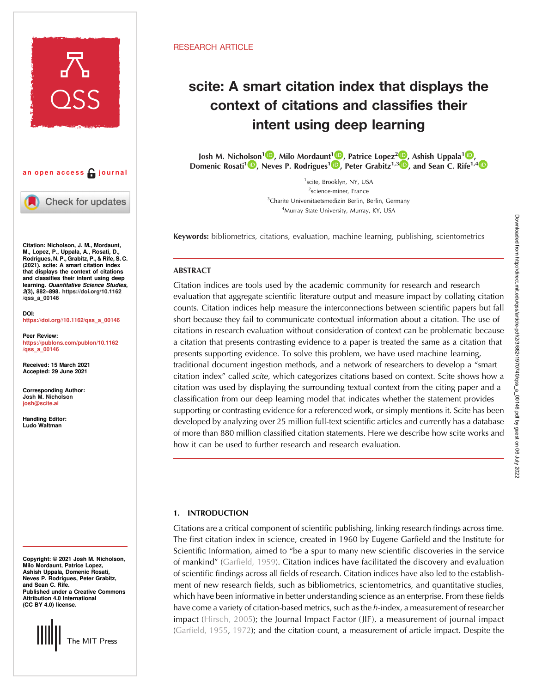

an open access  $\bigcap$  journal

Check for updates

Citation: Nicholson, J. M., Mordaunt, M., Lopez, P., Uppala, A., Rosati, D., Rodrigues, N. P., Grabitz, P., & Rife, S. C. (2021). scite: A smart citation index that displays the context of citations and classifies their intent using deep learning. Quantitative Science Studies, 2(3), 882–898. [https://doi.org/10.1162](https://doi.org/10.1162/qss_a_00146) [/qss\\_a\\_00146](https://doi.org/10.1162/qss_a_00146)

DOI: [https://doi.org//10.1162/qss\\_a\\_00146](https://doi.org/10.1162/qss_a_00146)

Peer Review: [https://publons.com/publon/10.1162](https://publons.com/publon/10.1162/qss_a_00146) [/qss\\_a\\_00146](https://publons.com/publon/10.1162/qss_a_00146)

Received: 15 March 2021 Accepted: 29 June 2021

Corresponding Author: Josh M. Nicholson [josh@scite.ai](mailto:josh@scite.ai)

Handling Editor: Ludo Waltman

Copyright: © 2021 Josh M. Nicholson, Milo Mordaunt, Patrice Lopez, Ashish Uppala, Domenic Rosati, Neves P. Rodrigues, Peter Grabitz, and Sean C. Rife. Published under a Creative Commons Attribution 4.0 International (CC BY 4.0) license.



## RESEARCH ARTICLE

# scite: A smart citation index that displays the context of citations and classifies their intent using deep learning

Josh M. Nich[olso](https://orcid.org/0000-0003-2666-7615)n<sup>1 (D</sup>, Milo Mordaun[t](https://orcid.org/0000-0002-6950-2135)<sup>1 (D</sup>[,](https://orcid.org/0000-0001-8748-1465) Patrice Lopez<sup>2 (D</sup>, Ashish Uppala<sup>1 (D</sup>, Domenic Rosati<sup>1</sup> , Neves P. Rodrigues<sup>1</sup> , Peter Grabitz<sup>1,3</sup> , and Sean C. Rife<sup>1,4</sup>

> <sup>1</sup>scite, Brooklyn, NY, USA <sup>2</sup>science-miner, France <sup>3</sup>Charite Universitaetsmedizin Berlin, Berlin, Germany 4 Murray State University, Murray, KY, USA

Keywords: bibliometrics, citations, evaluation, machine learning, publishing, scientometrics

# ABSTRACT

Citation indices are tools used by the academic community for research and research evaluation that aggregate scientific literature output and measure impact by collating citation counts. Citation indices help measure the interconnections between scientific papers but fall short because they fail to communicate contextual information about a citation. The use of citations in research evaluation without consideration of context can be problematic because a citation that presents contrasting evidence to a paper is treated the same as a citation that presents supporting evidence. To solve this problem, we have used machine learning, traditional document ingestion methods, and a network of researchers to develop a "smart citation index" called scite, which categorizes citations based on context. Scite shows how a citation was used by displaying the surrounding textual context from the citing paper and a classification from our deep learning model that indicates whether the statement provides supporting or contrasting evidence for a referenced work, or simply mentions it. Scite has been developed by analyzing over 25 million full-text scientific articles and currently has a database of more than 880 million classified citation statements. Here we describe how scite works and how it can be used to further research and research evaluation.

# 1. INTRODUCTION

Citations are a critical component of scientific publishing, linking research findings across time. The first citation index in science, created in 1960 by Eugene Garfield and the Institute for Scientific Information, aimed to "be a spur to many new scientific discoveries in the service of mankind" ([Garfield, 1959\)](#page-15-0). Citation indices have facilitated the discovery and evaluation of scientific findings across all fields of research. Citation indices have also led to the establishment of new research fields, such as bibliometrics, scientometrics, and quantitative studies, which have been informative in better understanding science as an enterprise. From these fields have come a variety of citation-based metrics, such as the h-index, a measurement of researcher impact ([Hirsch, 2005](#page-15-0)); the Journal Impact Factor (JIF), a measurement of journal impact ([Garfield, 1955](#page-15-0), [1972](#page-15-0)); and the citation count, a measurement of article impact. Despite the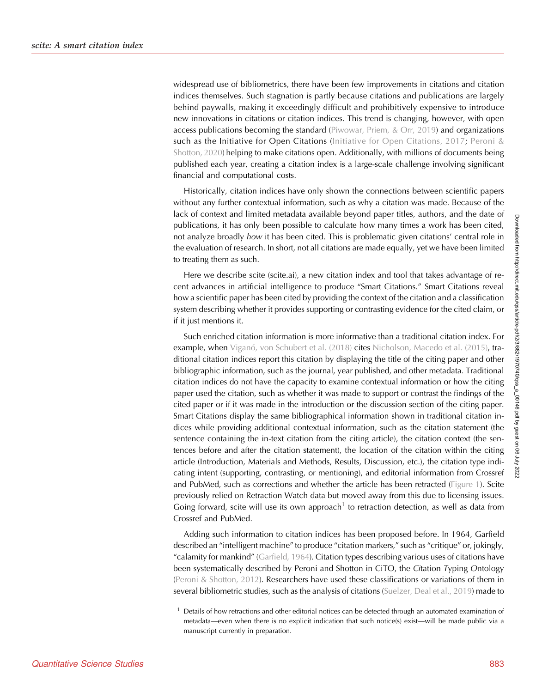widespread use of bibliometrics, there have been few improvements in citations and citation indices themselves. Such stagnation is partly because citations and publications are largely behind paywalls, making it exceedingly difficult and prohibitively expensive to introduce new innovations in citations or citation indices. This trend is changing, however, with open access publications becoming the standard [\(Piwowar, Priem, & Orr, 2019](#page-16-0)) and organizations such as the Initiative for Open Citations ([Initiative for Open Citations, 2017;](#page-15-0) [Peroni &](#page-16-0) [Shotton, 2020\)](#page-16-0) helping to make citations open. Additionally, with millions of documents being published each year, creating a citation index is a large-scale challenge involving significant financial and computational costs.

Historically, citation indices have only shown the connections between scientific papers without any further contextual information, such as why a citation was made. Because of the lack of context and limited metadata available beyond paper titles, authors, and the date of publications, it has only been possible to calculate how many times a work has been cited, not analyze broadly how it has been cited. This is problematic given citations' central role in the evaluation of research. In short, not all citations are made equally, yet we have been limited to treating them as such.

Here we describe scite (scite.ai), a new citation index and tool that takes advantage of recent advances in artificial intelligence to produce "Smart Citations." Smart Citations reveal how a scientific paper has been cited by providing the context of the citation and a classification system describing whether it provides supporting or contrasting evidence for the cited claim, or if it just mentions it.

Such enriched citation information is more informative than a traditional citation index. For example, when [Viganó, von Schubert et al. \(2018\)](#page-16-0) cites [Nicholson, Macedo et al. \(2015\)](#page-16-0), traditional citation indices report this citation by displaying the title of the citing paper and other bibliographic information, such as the journal, year published, and other metadata. Traditional citation indices do not have the capacity to examine contextual information or how the citing paper used the citation, such as whether it was made to support or contrast the findings of the cited paper or if it was made in the introduction or the discussion section of the citing paper. Smart Citations display the same bibliographical information shown in traditional citation indices while providing additional contextual information, such as the citation statement (the sentence containing the in-text citation from the citing article), the citation context (the sentences before and after the citation statement), the location of the citation within the citing article (Introduction, Materials and Methods, Results, Discussion, etc.), the citation type indicating intent (supporting, contrasting, or mentioning), and editorial information from Crossref and PubMed, such as corrections and whether the article has been retracted [\(Figure 1\)](#page-2-0). Scite previously relied on Retraction Watch data but moved away from this due to licensing issues. Going forward, scite will use its own approach<sup>1</sup> to retraction detection, as well as data from Crossref and PubMed.

Adding such information to citation indices has been proposed before. In 1964, Garfield described an "intelligent machine" to produce "citation markers," such as "critique" or, jokingly, "calamity for mankind" [\(Garfield, 1964\)](#page-15-0). Citation types describing various uses of citations have been systematically described by Peroni and Shotton in CiTO, the Citation Typing Ontology ([Peroni & Shotton, 2012](#page-16-0)). Researchers have used these classifications or variations of them in several bibliometric studies, such as the analysis of citations ([Suelzer, Deal et al., 2019](#page-16-0)) made to

Details of how retractions and other editorial notices can be detected through an automated examination of metadata—even when there is no explicit indication that such notice(s) exist—will be made public via a manuscript currently in preparation.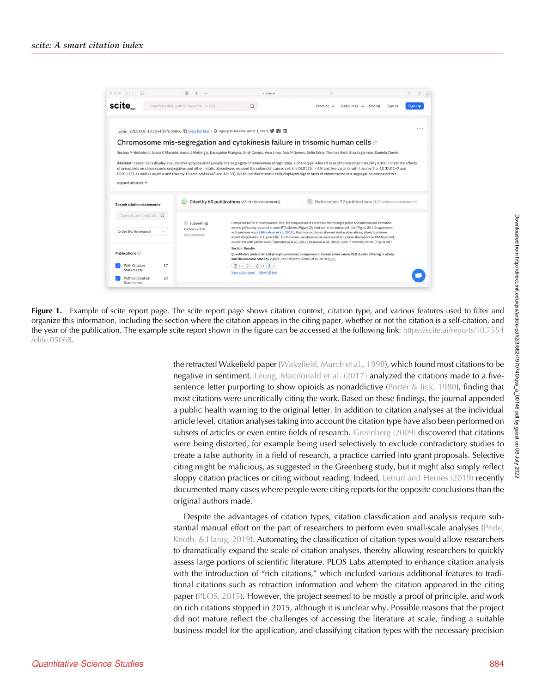<span id="page-2-0"></span>

| $\bullet \bullet \bullet \; \mid \; \langle \; \mid \; \rangle \; \mid \; \sqsubseteq \; \rangle$ |    | $\circ$ $\circ$ $\circ$                                      | scite.ai                                                                                                                                                                                                                                                                                                                                                                                                                                                                                                                                                                                                 | $\circ$        |                                                       |                    | $\begin{array}{ccc} \circ & \circ & \circ \end{array}$ |
|---------------------------------------------------------------------------------------------------|----|--------------------------------------------------------------|----------------------------------------------------------------------------------------------------------------------------------------------------------------------------------------------------------------------------------------------------------------------------------------------------------------------------------------------------------------------------------------------------------------------------------------------------------------------------------------------------------------------------------------------------------------------------------------------------------|----------------|-------------------------------------------------------|--------------------|--------------------------------------------------------|
| scite                                                                                             |    | Search by title, author, keywords, or DOI                    | Q                                                                                                                                                                                                                                                                                                                                                                                                                                                                                                                                                                                                        | $Product \sim$ | Resources v                                           | Sign in<br>Pricing | <b>Sign Up</b>                                         |
|                                                                                                   |    |                                                              | eLife 2015 DOI: 10.7554/elife.05068 [ View full text   Q Sign up to set email alerts   Share                                                                                                                                                                                                                                                                                                                                                                                                                                                                                                             |                |                                                       |                    |                                                        |
|                                                                                                   |    |                                                              | Chromosome mis-segregation and cytokinesis failure in trisomic human cells $\mathscr P$                                                                                                                                                                                                                                                                                                                                                                                                                                                                                                                  |                |                                                       |                    |                                                        |
|                                                                                                   |    |                                                              | Joshua M Nicholson, Joana C Macedo, Aaron J Mattingly, Darawalee Wangsa, Jordi Camps, Vera Lima, Ana M Gomes, Sofia Dória, Thomas Ried, Elsa Logarinho, Daniela Cimini                                                                                                                                                                                                                                                                                                                                                                                                                                   |                |                                                       |                    |                                                        |
| expand abstract V<br><b>Search citation statements</b>                                            |    |                                                              | Abstract: Cancer cells display aneuploid karyotypes and typically mis-segregate chromosomes at high rates, a phenotype referred to as chromosomal instability (CIN). To test the effects<br>of aneuploidy on chromosome segregation and other mitotic phenotypes we used the colorectal cancer cell line DLD1 (2n = 46) and two variants with trisomy 7 or 13 (DLD1+7 and<br>DLD1+13), as well as euploid and trisomy 13 amniocytes (AF and AF+13). We found that trisomic cells displayed higher rates of chromosome mis-segregation compared to t<br>Cited by 60 publications (65 citation statements) |                | References 72 publications (125 reference statements) |                    |                                                        |
|                                                                                                   |    |                                                              |                                                                                                                                                                                                                                                                                                                                                                                                                                                                                                                                                                                                          |                |                                                       |                    |                                                        |
|                                                                                                   |    |                                                              |                                                                                                                                                                                                                                                                                                                                                                                                                                                                                                                                                                                                          |                |                                                       |                    |                                                        |
| Context, author(s), titl Q<br>Order By: Relevance                                                 |    | $\odot$ supporting<br>Confidence: 93%<br>flag classification | Compared to the diploid parental line, the frequencies of chromosome missegregation and micronuclei formation<br>were significantly elevated in most PTA clones (Figure 2A) but not in the tetraploid line (Figure 2A). In agreement<br>with previous work (Nicholson et al., 2015), the trisomic clones showed similar aberrations, albeit to a lesser<br>extent (Supplemental Figure S2B). Furthermore, we observed an increase of structural aberrations in PTA lines and,<br>consistent with earlier work (Kuznetsova et al, 2015; Passerini et al, 2016), also in trisomic clones (Figure 2B).      |                |                                                       |                    |                                                        |
|                                                                                                   |    |                                                              | <b>Section: Results</b>                                                                                                                                                                                                                                                                                                                                                                                                                                                                                                                                                                                  |                |                                                       |                    |                                                        |
| Publications <sup>O</sup>                                                                         |    |                                                              | Quantitative proteomic and phosphoproteomic comparison of human colon cancer DLD-1 cells differing in ploidy<br>and chromosome stability Viganó, von Schubert, Ahrné, et al. 2018 MBoC                                                                                                                                                                                                                                                                                                                                                                                                                   |                |                                                       |                    |                                                        |
| With Citation                                                                                     | 37 |                                                              | $\boxed{18}$ $\boxed{0}$ 2 $\boxed{0}$ 11 $\boxed{0}$ 0                                                                                                                                                                                                                                                                                                                                                                                                                                                                                                                                                  |                |                                                       |                    |                                                        |
| Statements<br><b>Without Citation</b>                                                             | 23 |                                                              | View scite report View full text                                                                                                                                                                                                                                                                                                                                                                                                                                                                                                                                                                         |                |                                                       |                    |                                                        |

Figure 1. Example of scite report page. The scite report page shows citation context, citation type, and various features used to filter and organize this information, including the section where the citation appears in the citing paper, whether or not the citation is a self-citation, and the year of the publication. The example scite report shown in the figure can be accessed at the following link: [https://scite.ai/reports/10.7554](https://scite.ai/reports/10.7554/elife.05068) [/elife.05068.](https://scite.ai/reports/10.7554/elife.05068)

> the retracted Wakefield paper ([Wakefield, Murch et al., 1998\)](#page-16-0), which found most citations to be negative in sentiment. [Leung, Macdonald et al. \(2017\)](#page-15-0) analyzed the citations made to a five-sentence letter purporting to show opioids as nonaddictive ([Porter & Jick, 1980](#page-16-0)), finding that most citations were uncritically citing the work. Based on these findings, the journal appended a public health warning to the original letter. In addition to citation analyses at the individual article level, citation analyses taking into account the citation type have also been performed on subsets of articles or even entire fields of research. [Greenberg \(2009\)](#page-15-0) discovered that citations were being distorted, for example being used selectively to exclude contradictory studies to create a false authority in a field of research, a practice carried into grant proposals. Selective citing might be malicious, as suggested in the Greenberg study, but it might also simply reflect sloppy citation practices or citing without reading. Indeed, [Letrud and Hernes \(2019\)](#page-15-0) recently documented many cases where people were citing reports for the opposite conclusions than the original authors made.

> Despite the advantages of citation types, citation classification and analysis require substantial manual effort on the part of researchers to perform even small-scale analyses ([Pride,](#page-16-0) [Knoth, & Harag, 2019](#page-16-0)). Automating the classification of citation types would allow researchers to dramatically expand the scale of citation analyses, thereby allowing researchers to quickly assess large portions of scientific literature. PLOS Labs attempted to enhance citation analysis with the introduction of "rich citations," which included various additional features to traditional citations such as retraction information and where the citation appeared in the citing paper [\(PLOS, 2015\)](#page-16-0). However, the project seemed to be mostly a proof of principle, and work on rich citations stopped in 2015, although it is unclear why. Possible reasons that the project did not mature reflect the challenges of accessing the literature at scale, finding a suitable business model for the application, and classifying citation types with the necessary precision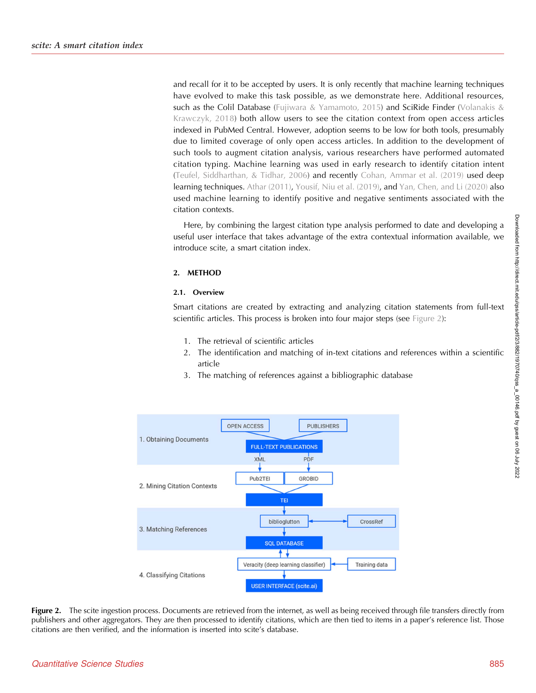and recall for it to be accepted by users. It is only recently that machine learning techniques have evolved to make this task possible, as we demonstrate here. Additional resources, such as the Colil Database [\(Fujiwara & Yamamoto, 2015](#page-15-0)) and SciRide Finder ([Volanakis &](#page-16-0) [Krawczyk, 2018\)](#page-16-0) both allow users to see the citation context from open access articles indexed in PubMed Central. However, adoption seems to be low for both tools, presumably due to limited coverage of only open access articles. In addition to the development of such tools to augment citation analysis, various researchers have performed automated citation typing. Machine learning was used in early research to identify citation intent ([Teufel, Siddharthan, & Tidhar, 2006](#page-16-0)) and recently [Cohan, Ammar et al. \(2019\)](#page-15-0) used deep learning techniques. [Athar \(2011\),](#page-15-0) [Yousif, Niu et al. \(2019\),](#page-16-0) and [Yan, Chen, and Li \(2020\)](#page-16-0) also used machine learning to identify positive and negative sentiments associated with the citation contexts.

Here, by combining the largest citation type analysis performed to date and developing a useful user interface that takes advantage of the extra contextual information available, we introduce scite, a smart citation index.

## 2. METHOD

## 2.1. Overview

Smart citations are created by extracting and analyzing citation statements from full-text scientific articles. This process is broken into four major steps (see Figure 2):

- 1. The retrieval of scientific articles
- 2. The identification and matching of in-text citations and references within a scientific article
- 3. The matching of references against a bibliographic database



Figure 2. The scite ingestion process. Documents are retrieved from the internet, as well as being received through file transfers directly from publishers and other aggregators. They are then processed to identify citations, which are then tied to items in a paper's reference list. Those citations are then verified, and the information is inserted into scite's database.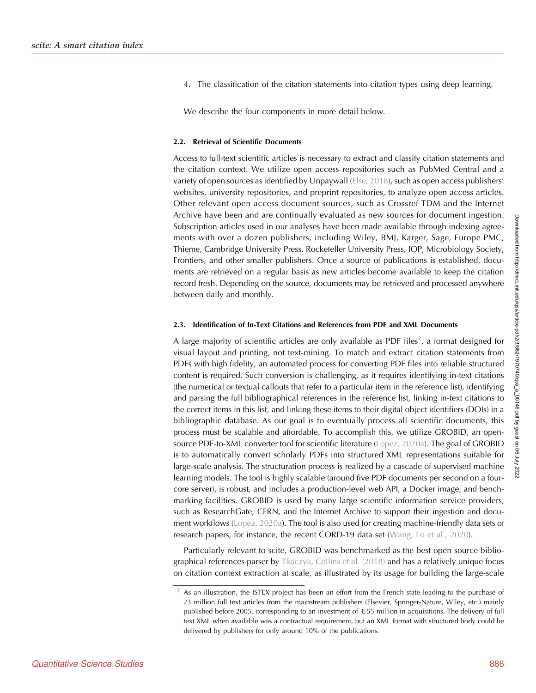4. The classification of the citation statements into citation types using deep learning.

We describe the four components in more detail below.

#### 2.2. Retrieval of Scientific Documents

Access to full-text scientific articles is necessary to extract and classify citation statements and the citation context. We utilize open access repositories such as PubMed Central and a variety of open sources as identified by Unpaywall [\(Else, 2018\)](#page-15-0), such as open access publishers' websites, university repositories, and preprint repositories, to analyze open access articles. Other relevant open access document sources, such as Crossref TDM and the Internet Archive have been and are continually evaluated as new sources for document ingestion. Subscription articles used in our analyses have been made available through indexing agreements with over a dozen publishers, including Wiley, BMJ, Karger, Sage, Europe PMC, Thieme, Cambridge University Press, Rockefeller University Press, IOP, Microbiology Society, Frontiers, and other smaller publishers. Once a source of publications is established, documents are retrieved on a regular basis as new articles become available to keep the citation record fresh. Depending on the source, documents may be retrieved and processed anywhere between daily and monthly.

## 2.3. Identification of In-Text Citations and References from PDF and XML Documents

A large majority of scientific articles are only available as PDF files<sup>2</sup>, a format designed for visual layout and printing, not text-mining. To match and extract citation statements from PDFs with high fidelity, an automated process for converting PDF files into reliable structured content is required. Such conversion is challenging, as it requires identifying in-text citations (the numerical or textual callouts that refer to a particular item in the reference list), identifying and parsing the full bibliographical references in the reference list, linking in-text citations to the correct items in this list, and linking these items to their digital object identifiers (DOIs) in a bibliographic database. As our goal is to eventually process all scientific documents, this process must be scalable and affordable. To accomplish this, we utilize GROBID, an opensource PDF-to-XML converter tool for scientific literature ([Lopez, 2020a\)](#page-15-0). The goal of GROBID is to automatically convert scholarly PDFs into structured XML representations suitable for large-scale analysis. The structuration process is realized by a cascade of supervised machine learning models. The tool is highly scalable (around five PDF documents per second on a fourcore server), is robust, and includes a production-level web API, a Docker image, and benchmarking facilities. GROBID is used by many large scientific information service providers, such as ResearchGate, CERN, and the Internet Archive to support their ingestion and document workflows [\(Lopez, 2020a](#page-15-0)). The tool is also used for creating machine-friendly data sets of research papers, for instance, the recent CORD-19 data set [\(Wang, Lo et al., 2020](#page-16-0)).

Particularly relevant to scite, GROBID was benchmarked as the best open source bibliographical references parser by [Tkaczyk, Collins et al. \(2018\)](#page-16-0) and has a relatively unique focus on citation context extraction at scale, as illustrated by its usage for building the large-scale

 $2$  As an illustration, the ISTEX project has been an effort from the French state leading to the purchase of 23 million full text articles from the mainstream publishers (Elsevier, Springer-Nature, Wiley, etc.) mainly published before 2005, corresponding to an investment of  $\epsilon$ 55 million in acquisitions. The delivery of full text XML when available was a contractual requirement, but an XML format with structured body could be delivered by publishers for only around 10% of the publications.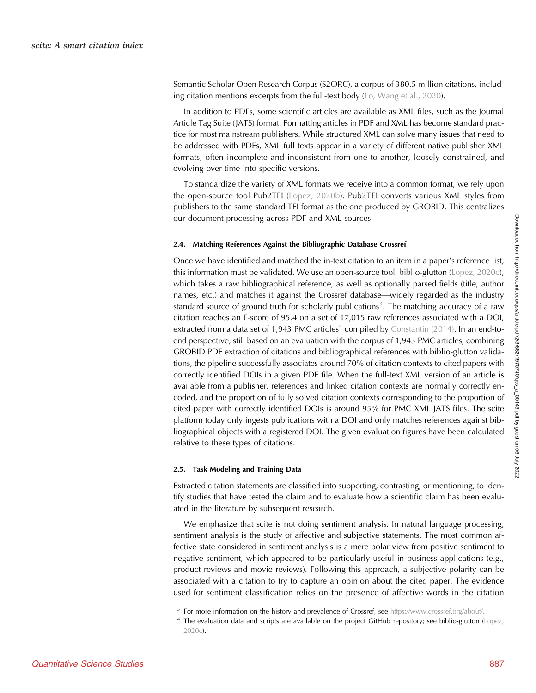Semantic Scholar Open Research Corpus (S2ORC), a corpus of 380.5 million citations, includ-ing citation mentions excerpts from the full-text body [\(Lo, Wang et al., 2020\)](#page-15-0).

In addition to PDFs, some scientific articles are available as XML files, such as the Journal Article Tag Suite (JATS) format. Formatting articles in PDF and XML has become standard practice for most mainstream publishers. While structured XML can solve many issues that need to be addressed with PDFs, XML full texts appear in a variety of different native publisher XML formats, often incomplete and inconsistent from one to another, loosely constrained, and evolving over time into specific versions.

To standardize the variety of XML formats we receive into a common format, we rely upon the open-source tool Pub2TEI ([Lopez, 2020b\)](#page-16-0). Pub2TEI converts various XML styles from publishers to the same standard TEI format as the one produced by GROBID. This centralizes our document processing across PDF and XML sources.

#### 2.4. Matching References Against the Bibliographic Database Crossref

Once we have identified and matched the in-text citation to an item in a paper's reference list, this information must be validated. We use an open-source tool, biblio-glutton ([Lopez, 2020c\)](#page-16-0), which takes a raw bibliographical reference, as well as optionally parsed fields (title, author names, etc.) and matches it against the Crossref database—widely regarded as the industry standard source of ground truth for scholarly publications $^3.$  The matching accuracy of a raw citation reaches an F-score of 95.4 on a set of 17,015 raw references associated with a DOI, extracted from a data set of 1,943 PMC articles<sup>4</sup> compiled by [Constantin \(2014\).](#page-15-0) In an end-toend perspective, still based on an evaluation with the corpus of 1,943 PMC articles, combining GROBID PDF extraction of citations and bibliographical references with biblio-glutton validations, the pipeline successfully associates around 70% of citation contexts to cited papers with correctly identified DOIs in a given PDF file. When the full-text XML version of an article is available from a publisher, references and linked citation contexts are normally correctly encoded, and the proportion of fully solved citation contexts corresponding to the proportion of cited paper with correctly identified DOIs is around 95% for PMC XML JATS files. The scite platform today only ingests publications with a DOI and only matches references against bibliographical objects with a registered DOI. The given evaluation figures have been calculated relative to these types of citations.

#### 2.5. Task Modeling and Training Data

Extracted citation statements are classified into supporting, contrasting, or mentioning, to identify studies that have tested the claim and to evaluate how a scientific claim has been evaluated in the literature by subsequent research.

We emphasize that scite is not doing sentiment analysis. In natural language processing, sentiment analysis is the study of affective and subjective statements. The most common affective state considered in sentiment analysis is a mere polar view from positive sentiment to negative sentiment, which appeared to be particularly useful in business applications (e.g., product reviews and movie reviews). Following this approach, a subjective polarity can be associated with a citation to try to capture an opinion about the cited paper. The evidence used for sentiment classification relies on the presence of affective words in the citation

<sup>&</sup>lt;sup>3</sup> For more information on the history and prevalence of Crossref, see [https://www.crossref.org/about/.](https://www.crossref.org/about/)

<sup>&</sup>lt;sup>4</sup> The evaluation data and scripts are available on the project GitHub repository; see biblio-glutton [\(Lopez,](#page-16-0) [2020c](#page-16-0)).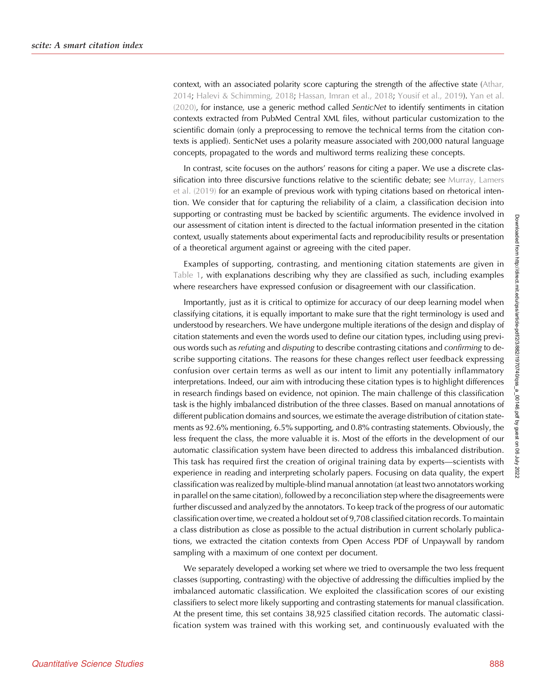context, with an associated polarity score capturing the strength of the affective state ([Athar,](#page-15-0) [2014;](#page-15-0) [Halevi & Schimming, 2018;](#page-15-0) [Hassan, Imran et al., 2018](#page-15-0); [Yousif et al., 2019](#page-16-0)). [Yan et al.](#page-16-0) [\(2020\)](#page-16-0), for instance, use a generic method called SenticNet to identify sentiments in citation contexts extracted from PubMed Central XML files, without particular customization to the scientific domain (only a preprocessing to remove the technical terms from the citation contexts is applied). SenticNet uses a polarity measure associated with 200,000 natural language concepts, propagated to the words and multiword terms realizing these concepts.

In contrast, scite focuses on the authors' reasons for citing a paper. We use a discrete classification into three discursive functions relative to the scientific debate; see [Murray, Lamers](#page-16-0) [et al. \(2019\)](#page-16-0) for an example of previous work with typing citations based on rhetorical intention. We consider that for capturing the reliability of a claim, a classification decision into supporting or contrasting must be backed by scientific arguments. The evidence involved in our assessment of citation intent is directed to the factual information presented in the citation context, usually statements about experimental facts and reproducibility results or presentation of a theoretical argument against or agreeing with the cited paper.

Examples of supporting, contrasting, and mentioning citation statements are given in [Table 1,](#page-7-0) with explanations describing why they are classified as such, including examples where researchers have expressed confusion or disagreement with our classification.

Importantly, just as it is critical to optimize for accuracy of our deep learning model when classifying citations, it is equally important to make sure that the right terminology is used and understood by researchers. We have undergone multiple iterations of the design and display of citation statements and even the words used to define our citation types, including using previous words such as refuting and disputing to describe contrasting citations and confirming to describe supporting citations. The reasons for these changes reflect user feedback expressing confusion over certain terms as well as our intent to limit any potentially inflammatory interpretations. Indeed, our aim with introducing these citation types is to highlight differences in research findings based on evidence, not opinion. The main challenge of this classification task is the highly imbalanced distribution of the three classes. Based on manual annotations of different publication domains and sources, we estimate the average distribution of citation statements as 92.6% mentioning, 6.5% supporting, and 0.8% contrasting statements. Obviously, the less frequent the class, the more valuable it is. Most of the efforts in the development of our automatic classification system have been directed to address this imbalanced distribution. This task has required first the creation of original training data by experts—scientists with experience in reading and interpreting scholarly papers. Focusing on data quality, the expert classification was realized by multiple-blind manual annotation (at least two annotators working in parallel on the same citation), followed by a reconciliation step where the disagreements were further discussed and analyzed by the annotators. To keep track of the progress of our automatic classification over time, we created a holdout set of 9,708 classified citation records. To maintain a class distribution as close as possible to the actual distribution in current scholarly publications, we extracted the citation contexts from Open Access PDF of Unpaywall by random sampling with a maximum of one context per document.

We separately developed a working set where we tried to oversample the two less frequent classes (supporting, contrasting) with the objective of addressing the difficulties implied by the imbalanced automatic classification. We exploited the classification scores of our existing classifiers to select more likely supporting and contrasting statements for manual classification. At the present time, this set contains 38,925 classified citation records. The automatic classification system was trained with this working set, and continuously evaluated with the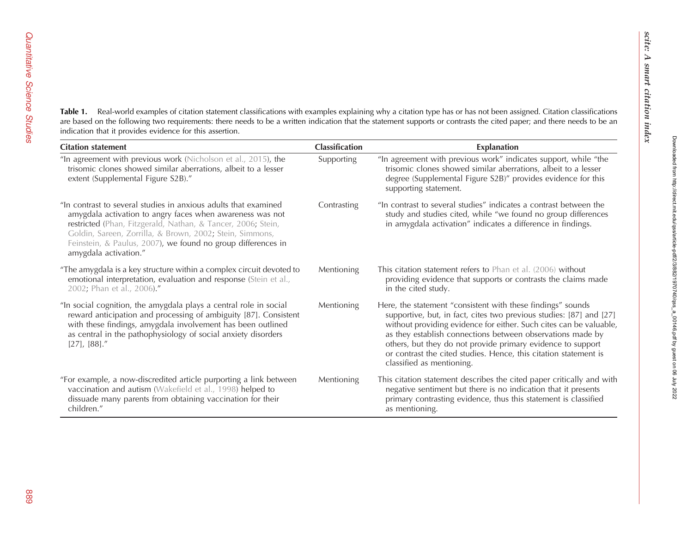<span id="page-7-0"></span>**Table 1.** Real-world examples of citation statement classifications with examples explaining why a citation type has or has not been assigned. Citation classifications are based on the following two requirements: there needs to be a written indication that the statement supports or contrasts the cited paper; and there needs to be an indication that it provides evidence for this assertion.

| <b>Citation statement</b>                                                                                                                                                                                                                                                                                                                         | <b>Classification</b> | <b>Explanation</b>                                                                                                                                                                                                                                                                                                                                                                                                                     |
|---------------------------------------------------------------------------------------------------------------------------------------------------------------------------------------------------------------------------------------------------------------------------------------------------------------------------------------------------|-----------------------|----------------------------------------------------------------------------------------------------------------------------------------------------------------------------------------------------------------------------------------------------------------------------------------------------------------------------------------------------------------------------------------------------------------------------------------|
| "In agreement with previous work (Nicholson et al., 2015), the<br>trisomic clones showed similar aberrations, albeit to a lesser<br>extent (Supplemental Figure S2B)."                                                                                                                                                                            | Supporting            | "In agreement with previous work" indicates support, while "the<br>trisomic clones showed similar aberrations, albeit to a lesser<br>degree (Supplemental Figure S2B)" provides evidence for this<br>supporting statement.                                                                                                                                                                                                             |
| "In contrast to several studies in anxious adults that examined<br>amygdala activation to angry faces when awareness was not<br>restricted (Phan, Fitzgerald, Nathan, & Tancer, 2006; Stein,<br>Goldin, Sareen, Zorrilla, & Brown, 2002; Stein, Simmons,<br>Feinstein, & Paulus, 2007), we found no group differences in<br>amygdala activation." | Contrasting           | "In contrast to several studies" indicates a contrast between the<br>study and studies cited, while "we found no group differences<br>in amygdala activation" indicates a difference in findings.                                                                                                                                                                                                                                      |
| "The amygdala is a key structure within a complex circuit devoted to<br>emotional interpretation, evaluation and response (Stein et al.,<br>2002; Phan et al., 2006)."                                                                                                                                                                            | Mentioning            | This citation statement refers to Phan et al. (2006) without<br>providing evidence that supports or contrasts the claims made<br>in the cited study.                                                                                                                                                                                                                                                                                   |
| "In social cognition, the amygdala plays a central role in social<br>reward anticipation and processing of ambiguity [87]. Consistent<br>with these findings, amygdala involvement has been outlined<br>as central in the pathophysiology of social anxiety disorders<br>$[27]$ , $[88]$ ."                                                       | Mentioning            | Here, the statement "consistent with these findings" sounds<br>supportive, but, in fact, cites two previous studies: [87] and [27]<br>without providing evidence for either. Such cites can be valuable,<br>as they establish connections between observations made by<br>others, but they do not provide primary evidence to support<br>or contrast the cited studies. Hence, this citation statement is<br>classified as mentioning. |
| "For example, a now-discredited article purporting a link between<br>vaccination and autism (Wakefield et al., 1998) helped to<br>dissuade many parents from obtaining vaccination for their<br>children."                                                                                                                                        | Mentioning            | This citation statement describes the cited paper critically and with<br>negative sentiment but there is no indication that it presents<br>primary contrasting evidence, thus this statement is classified<br>as mentioning.                                                                                                                                                                                                           |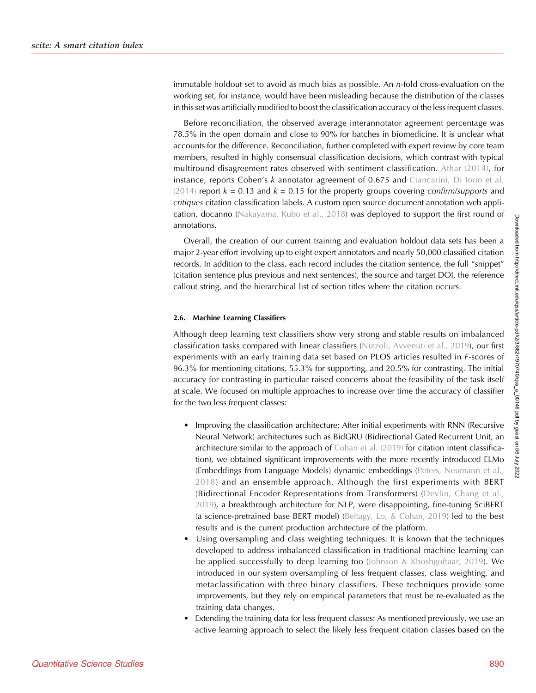immutable holdout set to avoid as much bias as possible. An  $n$ -fold cross-evaluation on the working set, for instance, would have been misleading because the distribution of the classes in this set was artificially modified to boost the classification accuracy of the less frequent classes.

Before reconciliation, the observed average interannotator agreement percentage was 78.5% in the open domain and close to 90% for batches in biomedicine. It is unclear what accounts for the difference. Reconciliation, further completed with expert review by core team members, resulted in highly consensual classification decisions, which contrast with typical multiround disagreement rates observed with sentiment classification. [Athar \(2014\)](#page-15-0), for instance, reports Cohen's k annotator agreement of 0.675 and [Ciancarini, Di Iorio et al.](#page-15-0) [\(2014\)](#page-15-0) report  $k = 0.13$  and  $k = 0.15$  for the property groups covering confirm/supports and critiques citation classification labels. A custom open source document annotation web application, docanno ([Nakayama, Kubo et al., 2018\)](#page-16-0) was deployed to support the first round of annotations.

Overall, the creation of our current training and evaluation holdout data sets has been a major 2-year effort involving up to eight expert annotators and nearly 50,000 classified citation records. In addition to the class, each record includes the citation sentence, the full "snippet" (citation sentence plus previous and next sentences), the source and target DOI, the reference callout string, and the hierarchical list of section titles where the citation occurs.

## 2.6. Machine Learning Classifiers

Although deep learning text classifiers show very strong and stable results on imbalanced classification tasks compared with linear classifiers [\(Nizzoli, Avvenuti et al., 2019](#page-16-0)), our first experiments with an early training data set based on PLOS articles resulted in F-scores of 96.3% for mentioning citations, 55.3% for supporting, and 20.5% for contrasting. The initial accuracy for contrasting in particular raised concerns about the feasibility of the task itself at scale. We focused on multiple approaches to increase over time the accuracy of classifier for the two less frequent classes:

- Improving the classification architecture: After initial experiments with RNN (Recursive Neural Network) architectures such as BidGRU (Bidirectional Gated Recurrent Unit, an architecture similar to the approach of [Cohan et al. \(2019\)](#page-15-0) for citation intent classification), we obtained significant improvements with the more recently introduced ELMo (Embeddings from Language Models) dynamic embeddings [\(Peters, Neumann et al.,](#page-16-0) [2018](#page-16-0)) and an ensemble approach. Although the first experiments with BERT (Bidirectional Encoder Representations from Transformers) ([Devlin, Chang et al.,](#page-15-0) [2019](#page-15-0)), a breakthrough architecture for NLP, were disappointing, fine-tuning SciBERT (a science-pretrained base BERT model) ([Beltagy, Lo, & Cohan, 2019](#page-15-0)) led to the best results and is the current production architecture of the platform.
- Using oversampling and class weighting techniques: It is known that the techniques developed to address imbalanced classification in traditional machine learning can be applied successfully to deep learning too [\(Johnson & Khoshgoftaar, 2019](#page-15-0)). We introduced in our system oversampling of less frequent classes, class weighting, and metaclassification with three binary classifiers. These techniques provide some improvements, but they rely on empirical parameters that must be re-evaluated as the training data changes.
- Extending the training data for less frequent classes: As mentioned previously, we use an active learning approach to select the likely less frequent citation classes based on the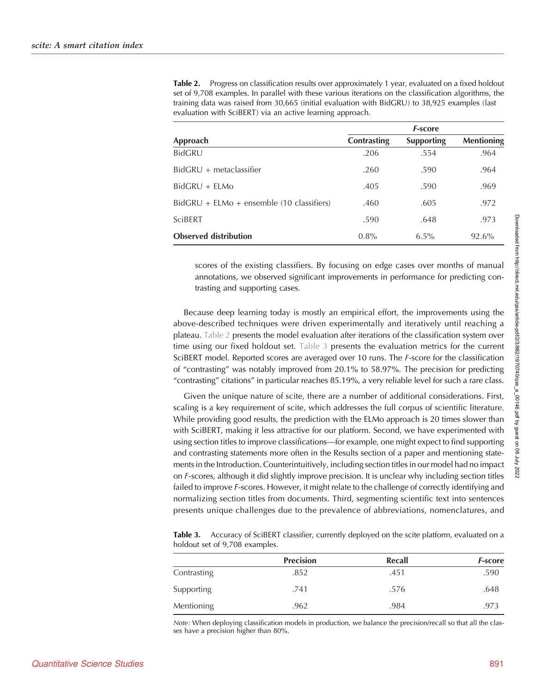|                                             | <i><b>F-score</b></i> |                   |                   |  |
|---------------------------------------------|-----------------------|-------------------|-------------------|--|
| Approach                                    | Contrasting           | <b>Supporting</b> | <b>Mentioning</b> |  |
| <b>BidGRU</b>                               | .206                  | .554              | .964              |  |
| $BidGRU + metaclassifier$                   | .260                  | .590              | .964              |  |
| $BidGRU + ELMo$                             | .405                  | .590              | .969              |  |
| $BidGRU + ELMo + ensemble (10 classifiers)$ | .460                  | .605              | .972              |  |
| <b>SciBERT</b>                              | .590                  | .648              | .973              |  |
| <b>Observed distribution</b>                | $0.8\%$               | $6.5\%$           | 92.6%             |  |

Table 2. Progress on classification results over approximately 1 year, evaluated on a fixed holdout set of 9,708 examples. In parallel with these various iterations on the classification algorithms, the training data was raised from 30,665 (initial evaluation with BidGRU) to 38,925 examples (last evaluation with SciBERT) via an active learning approach.

scores of the existing classifiers. By focusing on edge cases over months of manual annotations, we observed significant improvements in performance for predicting contrasting and supporting cases.

Because deep learning today is mostly an empirical effort, the improvements using the above-described techniques were driven experimentally and iteratively until reaching a plateau. Table 2 presents the model evaluation after iterations of the classification system over time using our fixed holdout set. Table 3 presents the evaluation metrics for the current SciBERT model. Reported scores are averaged over 10 runs. The F-score for the classification of "contrasting" was notably improved from 20.1% to 58.97%. The precision for predicting "contrasting" citations" in particular reaches 85.19%, a very reliable level for such a rare class.

Given the unique nature of scite, there are a number of additional considerations. First, scaling is a key requirement of scite, which addresses the full corpus of scientific literature. While providing good results, the prediction with the ELMo approach is 20 times slower than with SciBERT, making it less attractive for our platform. Second, we have experimented with using section titles to improve classifications—for example, one might expect to find supporting and contrasting statements more often in the Results section of a paper and mentioning statements in the Introduction. Counterintuitively, including section titles in our model had no impact on F-scores, although it did slightly improve precision. It is unclear why including section titles failed to improve *F*-scores. However, it might relate to the challenge of correctly identifying and normalizing section titles from documents. Third, segmenting scientific text into sentences presents unique challenges due to the prevalence of abbreviations, nomenclatures, and

Table 3. Accuracy of SciBERT classifier, currently deployed on the scite platform, evaluated on a holdout set of 9,708 examples.

|                   | <b>Precision</b> | Recall | <b>F-score</b> |
|-------------------|------------------|--------|----------------|
| Contrasting       | .852             | .451   | .590           |
| <b>Supporting</b> | .741             | .576   | .648           |
| <b>Mentioning</b> | .962             | .984   | .973           |

Note: When deploying classification models in production, we balance the precision/recall so that all the classes have a precision higher than 80%.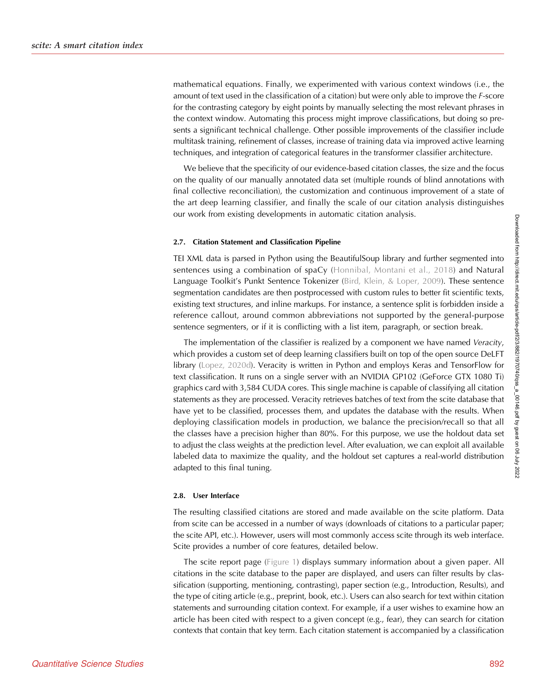mathematical equations. Finally, we experimented with various context windows (i.e., the amount of text used in the classification of a citation) but were only able to improve the F-score for the contrasting category by eight points by manually selecting the most relevant phrases in the context window. Automating this process might improve classifications, but doing so presents a significant technical challenge. Other possible improvements of the classifier include multitask training, refinement of classes, increase of training data via improved active learning techniques, and integration of categorical features in the transformer classifier architecture.

We believe that the specificity of our evidence-based citation classes, the size and the focus on the quality of our manually annotated data set (multiple rounds of blind annotations with final collective reconciliation), the customization and continuous improvement of a state of the art deep learning classifier, and finally the scale of our citation analysis distinguishes our work from existing developments in automatic citation analysis.

#### 2.7. Citation Statement and Classification Pipeline

TEI XML data is parsed in Python using the BeautifulSoup library and further segmented into sentences using a combination of spaCy ([Honnibal, Montani et al., 2018\)](#page-15-0) and Natural Language Toolkit's Punkt Sentence Tokenizer [\(Bird, Klein, & Loper, 2009](#page-15-0)). These sentence segmentation candidates are then postprocessed with custom rules to better fit scientific texts, existing text structures, and inline markups. For instance, a sentence split is forbidden inside a reference callout, around common abbreviations not supported by the general-purpose sentence segmenters, or if it is conflicting with a list item, paragraph, or section break.

The implementation of the classifier is realized by a component we have named Veracity, which provides a custom set of deep learning classifiers built on top of the open source DeLFT library ([Lopez, 2020d\)](#page-16-0). Veracity is written in Python and employs Keras and TensorFlow for text classification. It runs on a single server with an NVIDIA GP102 (GeForce GTX 1080 Ti) graphics card with 3,584 CUDA cores. This single machine is capable of classifying all citation statements as they are processed. Veracity retrieves batches of text from the scite database that have yet to be classified, processes them, and updates the database with the results. When deploying classification models in production, we balance the precision/recall so that all the classes have a precision higher than 80%. For this purpose, we use the holdout data set to adjust the class weights at the prediction level. After evaluation, we can exploit all available labeled data to maximize the quality, and the holdout set captures a real-world distribution adapted to this final tuning.

#### 2.8. User Interface

The resulting classified citations are stored and made available on the scite platform. Data from scite can be accessed in a number of ways (downloads of citations to a particular paper; the scite API, etc.). However, users will most commonly access scite through its web interface. Scite provides a number of core features, detailed below.

The scite report page ([Figure 1](#page-2-0)) displays summary information about a given paper. All citations in the scite database to the paper are displayed, and users can filter results by classification (supporting, mentioning, contrasting), paper section (e.g., Introduction, Results), and the type of citing article (e.g., preprint, book, etc.). Users can also search for text within citation statements and surrounding citation context. For example, if a user wishes to examine how an article has been cited with respect to a given concept (e.g., fear), they can search for citation contexts that contain that key term. Each citation statement is accompanied by a classification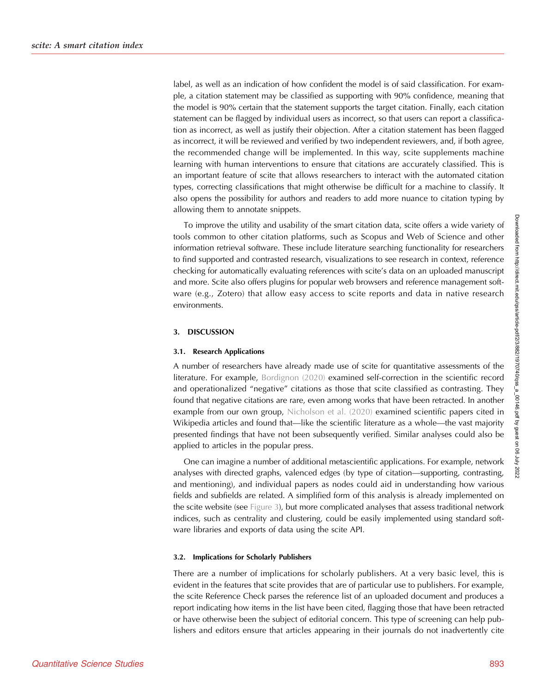label, as well as an indication of how confident the model is of said classification. For example, a citation statement may be classified as supporting with 90% confidence, meaning that the model is 90% certain that the statement supports the target citation. Finally, each citation statement can be flagged by individual users as incorrect, so that users can report a classification as incorrect, as well as justify their objection. After a citation statement has been flagged as incorrect, it will be reviewed and verified by two independent reviewers, and, if both agree, the recommended change will be implemented. In this way, scite supplements machine learning with human interventions to ensure that citations are accurately classified. This is an important feature of scite that allows researchers to interact with the automated citation types, correcting classifications that might otherwise be difficult for a machine to classify. It also opens the possibility for authors and readers to add more nuance to citation typing by allowing them to annotate snippets.

To improve the utility and usability of the smart citation data, scite offers a wide variety of tools common to other citation platforms, such as Scopus and Web of Science and other information retrieval software. These include literature searching functionality for researchers to find supported and contrasted research, visualizations to see research in context, reference checking for automatically evaluating references with scite's data on an uploaded manuscript and more. Scite also offers plugins for popular web browsers and reference management software (e.g., Zotero) that allow easy access to scite reports and data in native research environments.

## 3. DISCUSSION

#### 3.1. Research Applications

A number of researchers have already made use of scite for quantitative assessments of the literature. For example, [Bordignon \(2020\)](#page-15-0) examined self-correction in the scientific record and operationalized "negative" citations as those that scite classified as contrasting. They found that negative citations are rare, even among works that have been retracted. In another example from our own group, [Nicholson et al. \(2020\)](#page-16-0) examined scientific papers cited in Wikipedia articles and found that—like the scientific literature as a whole—the vast majority presented findings that have not been subsequently verified. Similar analyses could also be applied to articles in the popular press.

One can imagine a number of additional metascientific applications. For example, network analyses with directed graphs, valenced edges (by type of citation—supporting, contrasting, and mentioning), and individual papers as nodes could aid in understanding how various fields and subfields are related. A simplified form of this analysis is already implemented on the scite website (see [Figure 3\)](#page-12-0), but more complicated analyses that assess traditional network indices, such as centrality and clustering, could be easily implemented using standard software libraries and exports of data using the scite API.

## 3.2. Implications for Scholarly Publishers

There are a number of implications for scholarly publishers. At a very basic level, this is evident in the features that scite provides that are of particular use to publishers. For example, the scite Reference Check parses the reference list of an uploaded document and produces a report indicating how items in the list have been cited, flagging those that have been retracted or have otherwise been the subject of editorial concern. This type of screening can help publishers and editors ensure that articles appearing in their journals do not inadvertently cite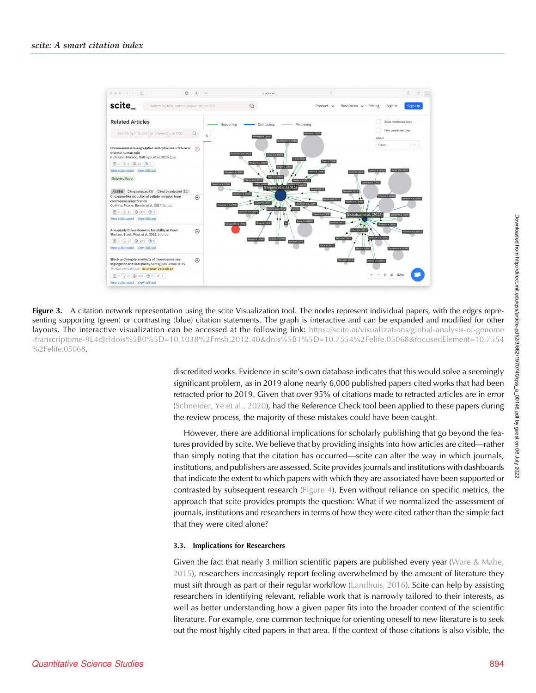<span id="page-12-0"></span>

Figure 3. A citation network representation using the scite Visualization tool. The nodes represent individual papers, with the edges representing supporting (green) or contrasting (blue) citation statements. The graph is interactive and can be expanded and modified for other layouts. The interactive visualization can be accessed at the following link: [https://scite.ai/visualizations/global-analysis-of-genome](https://scite.ai/visualizations/global-analysis-of-genome-transcriptome-9L4dJr?dois%5B0%5D=10.1038%2Fmsb.2012.40&dois%5B1%5D=10.7554%2Felife.05068&focusedElement=10.7554%2Felife.05068) [-transcriptome-9L4dJr?dois%5B0%5D=10.1038%2Fmsb.2012.40&dois%5B1%5D=10.7554%2Felife.05068&focusedElement=10.7554](https://scite.ai/visualizations/global-analysis-of-genome-transcriptome-9L4dJr?dois%5B0%5D=10.1038%2Fmsb.2012.40&dois%5B1%5D=10.7554%2Felife.05068&focusedElement=10.7554%2Felife.05068) [%2Felife.05068.](https://scite.ai/visualizations/global-analysis-of-genome-transcriptome-9L4dJr?dois%5B0%5D=10.1038%2Fmsb.2012.40&dois%5B1%5D=10.7554%2Felife.05068&focusedElement=10.7554%2Felife.05068)

> discredited works. Evidence in scite's own database indicates that this would solve a seemingly significant problem, as in 2019 alone nearly 6,000 published papers cited works that had been retracted prior to 2019. Given that over 95% of citations made to retracted articles are in error ([Schneider, Ye et al., 2020\)](#page-16-0), had the Reference Check tool been applied to these papers during the review process, the majority of these mistakes could have been caught.

> However, there are additional implications for scholarly publishing that go beyond the features provided by scite. We believe that by providing insights into how articles are cited—rather than simply noting that the citation has occurred—scite can alter the way in which journals, institutions, and publishers are assessed. Scite provides journals and institutions with dashboards that indicate the extent to which papers with which they are associated have been supported or contrasted by subsequent research ([Figure 4](#page-13-0)). Even without reliance on specific metrics, the approach that scite provides prompts the question: What if we normalized the assessment of journals, institutions and researchers in terms of how they were cited rather than the simple fact that they were cited alone?

## 3.3. Implications for Researchers

Given the fact that nearly 3 million scientific papers are published every year (Ware  $\&$  Mabe, [2015](#page-16-0)), researchers increasingly report feeling overwhelmed by the amount of literature they must sift through as part of their regular workflow ([Landhuis, 2016](#page-15-0)). Scite can help by assisting researchers in identifying relevant, reliable work that is narrowly tailored to their interests, as well as better understanding how a given paper fits into the broader context of the scientific literature. For example, one common technique for orienting oneself to new literature is to seek out the most highly cited papers in that area. If the context of those citations is also visible, the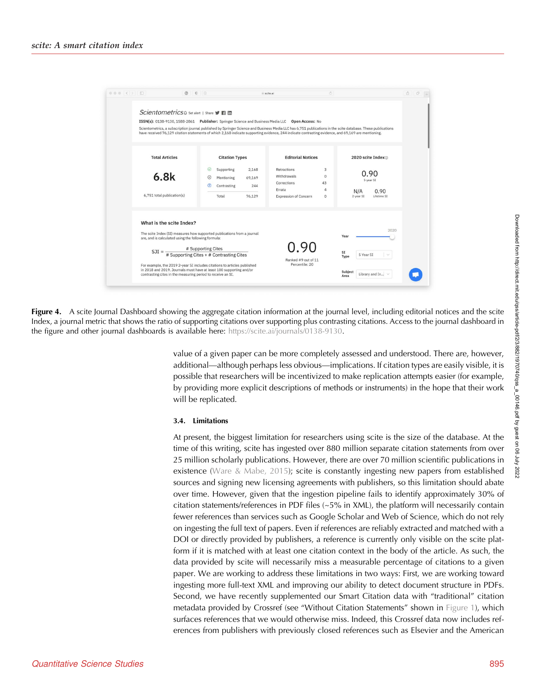<span id="page-13-0"></span>

Figure 4. A scite Journal Dashboard showing the aggregate citation information at the journal level, including editorial notices and the scite Index, a journal metric that shows the ratio of supporting citations over supporting plus contrasting citations. Access to the journal dashboard in the figure and other journal dashboards is available here: [https://scite.ai/journals/0138-9130](http://scite.ai/journals/0138-9130).

> value of a given paper can be more completely assessed and understood. There are, however, additional—although perhaps less obvious—implications. If citation types are easily visible, it is possible that researchers will be incentivized to make replication attempts easier (for example, by providing more explicit descriptions of methods or instruments) in the hope that their work will be replicated.

## 3.4. Limitations

At present, the biggest limitation for researchers using scite is the size of the database. At the time of this writing, scite has ingested over 880 million separate citation statements from over 25 million scholarly publications. However, there are over 70 million scientific publications in existence ([Ware & Mabe, 2015\)](#page-16-0); scite is constantly ingesting new papers from established sources and signing new licensing agreements with publishers, so this limitation should abate over time. However, given that the ingestion pipeline fails to identify approximately 30% of citation statements/references in PDF files  $(-5\%$  in XML), the platform will necessarily contain fewer references than services such as Google Scholar and Web of Science, which do not rely on ingesting the full text of papers. Even if references are reliably extracted and matched with a DOI or directly provided by publishers, a reference is currently only visible on the scite platform if it is matched with at least one citation context in the body of the article. As such, the data provided by scite will necessarily miss a measurable percentage of citations to a given paper. We are working to address these limitations in two ways: First, we are working toward ingesting more full-text XML and improving our ability to detect document structure in PDFs. Second, we have recently supplemented our Smart Citation data with "traditional" citation metadata provided by Crossref (see "Without Citation Statements" shown in [Figure 1\)](#page-2-0), which surfaces references that we would otherwise miss. Indeed, this Crossref data now includes references from publishers with previously closed references such as Elsevier and the American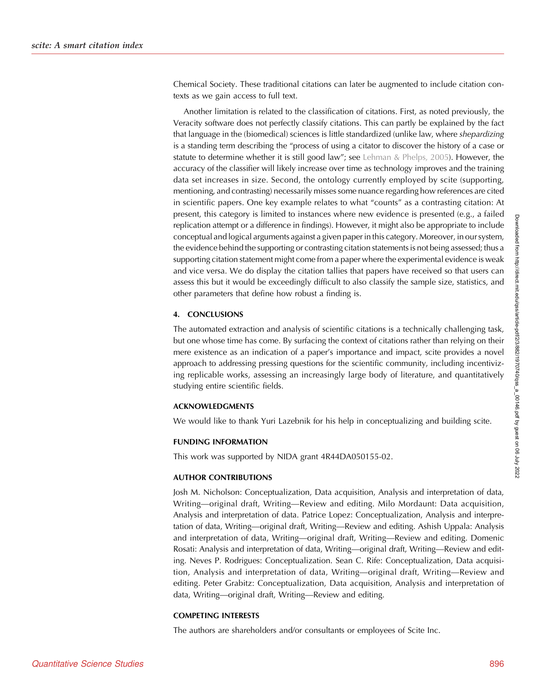Chemical Society. These traditional citations can later be augmented to include citation contexts as we gain access to full text.

Another limitation is related to the classification of citations. First, as noted previously, the Veracity software does not perfectly classify citations. This can partly be explained by the fact that language in the (biomedical) sciences is little standardized (unlike law, where shepardizing is a standing term describing the "process of using a citator to discover the history of a case or statute to determine whether it is still good law"; see [Lehman & Phelps, 2005\)](#page-15-0). However, the accuracy of the classifier will likely increase over time as technology improves and the training data set increases in size. Second, the ontology currently employed by scite (supporting, mentioning, and contrasting) necessarily misses some nuance regarding how references are cited in scientific papers. One key example relates to what "counts" as a contrasting citation: At present, this category is limited to instances where new evidence is presented (e.g., a failed replication attempt or a difference in findings). However, it might also be appropriate to include conceptual and logical arguments against a given paper in this category. Moreover, in our system, the evidence behind the supporting or contrasting citation statements is not being assessed; thus a supporting citation statement might come from a paper where the experimental evidence is weak and vice versa. We do display the citation tallies that papers have received so that users can assess this but it would be exceedingly difficult to also classify the sample size, statistics, and other parameters that define how robust a finding is.

## 4. CONCLUSIONS

The automated extraction and analysis of scientific citations is a technically challenging task, but one whose time has come. By surfacing the context of citations rather than relying on their mere existence as an indication of a paper's importance and impact, scite provides a novel approach to addressing pressing questions for the scientific community, including incentivizing replicable works, assessing an increasingly large body of literature, and quantitatively studying entire scientific fields.

#### ACKNOWLEDGMENTS

We would like to thank Yuri Lazebnik for his help in conceptualizing and building scite.

#### FUNDING INFORMATION

This work was supported by NIDA grant 4R44DA050155-02.

#### AUTHOR CONTRIBUTIONS

Josh M. Nicholson: Conceptualization, Data acquisition, Analysis and interpretation of data, Writing—original draft, Writing—Review and editing. Milo Mordaunt: Data acquisition, Analysis and interpretation of data. Patrice Lopez: Conceptualization, Analysis and interpretation of data, Writing—original draft, Writing—Review and editing. Ashish Uppala: Analysis and interpretation of data, Writing—original draft, Writing—Review and editing. Domenic Rosati: Analysis and interpretation of data, Writing—original draft, Writing—Review and editing. Neves P. Rodrigues: Conceptualization. Sean C. Rife: Conceptualization, Data acquisition, Analysis and interpretation of data, Writing—original draft, Writing—Review and editing. Peter Grabitz: Conceptualization, Data acquisition, Analysis and interpretation of data, Writing—original draft, Writing—Review and editing.

#### COMPETING INTERESTS

The authors are shareholders and/or consultants or employees of Scite Inc.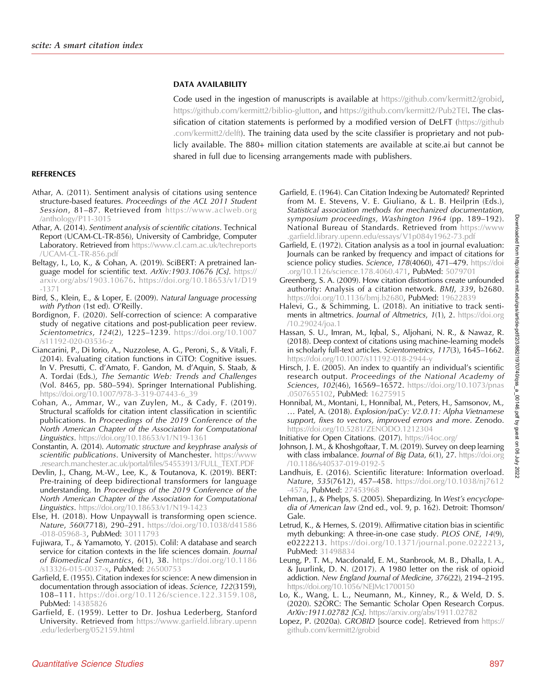## DATA AVAILABILITY

Code used in the ingestion of manuscripts is available at <https://github.com/kermitt2/grobid>, <https://github.com/kermitt2/biblio-glutton>, and <https://github.com/kermitt2/Pub2TEI>. The clas-sification of citation statements is performed by a modified version of DeLFT [\(https://github](https://github.com/kermitt2/delft) [.com/kermitt2/delft](https://github.com/kermitt2/delft)). The training data used by the scite classifier is proprietary and not publicly available. The 880+ million citation statements are available at scite.ai but cannot be shared in full due to licensing arrangements made with publishers.

## <span id="page-15-0"></span>REFERENCES

- Athar, A. (2011). Sentiment analysis of citations using sentence structure-based features. Proceedings of the ACL 2011 Student Session, 81-87. Retrieved from [https://www.aclweb.org](https://www.aclweb.org/anthology/P11-3015) [/anthology/P11-3015](https://www.aclweb.org/anthology/P11-3015)
- Athar, A. (2014). Sentiment analysis of scientific citations. Technical Report (UCAM-CL-TR-856), University of Cambridge, Computer Laboratory. Retrieved from [https://www.cl.cam.ac.uk/techreports](https://www.cl.cam.ac.uk/techreports/UCAM-CL-TR-856.pdf) [/UCAM-CL-TR-856.pdf](https://www.cl.cam.ac.uk/techreports/UCAM-CL-TR-856.pdf)
- Beltagy, I., Lo, K., & Cohan, A. (2019). SciBERT: A pretrained language model for scientific text.  $ArXiv:1903.10676$  [Cs]. [https://](http://arxiv.org/abs/1903.10676) [arxiv.org/abs/1903.10676](http://arxiv.org/abs/1903.10676). [https://doi.org/10.18653/v1/D19](https://doi.org/10.18653/v1/D19-1371) [-1371](https://doi.org/10.18653/v1/D19-1371)
- Bird, S., Klein, E., & Loper, E. (2009). Natural language processing with Python (1st ed). O'Reilly.
- Bordignon, F. (2020). Self-correction of science: A comparative study of negative citations and post-publication peer review. Scientometrics, 124(2), 1225–1239. [https://doi.org/10.1007](https://doi.org/10.1007/s11192-020-03536-z) [/s11192-020-03536-z](https://doi.org/10.1007/s11192-020-03536-z)
- Ciancarini, P., Di Iorio, A., Nuzzolese, A. G., Peroni, S., & Vitali, F. (2014). Evaluating citation functions in CiTO: Cognitive issues. In V. Presutti, C. d'Amato, F. Gandon, M. d'Aquin, S. Staab, & A. Tordai (Eds.), The Semantic Web: Trends and Challenges (Vol. 8465, pp. 580–594). Springer International Publishing. [https://doi.org/10.1007/978-3-319-07443-6\\_39](https://doi.org/10.1007/978-3-319-07443-6_39)
- Cohan, A., Ammar, W., van Zuylen, M., & Cady, F. (2019). Structural scaffolds for citation intent classification in scientific publications. In Proceedings of the 2019 Conference of the North American Chapter of the Association for Computational Linguistics. <https://doi.org/10.18653/v1/N19-1361>
- Constantin, A. (2014). Automatic structure and keyphrase analysis of scientific publications. University of Manchester. [https://www](https://www.research.manchester.ac.uk/portal/files/54553913/FULL_TEXT.PDF) [.research.manchester.ac.uk/portal/files/54553913/FULL\\_TEXT.PDF](https://www.research.manchester.ac.uk/portal/files/54553913/FULL_TEXT.PDF)
- Devlin, J., Chang, M.-W., Lee, K., & Toutanova, K. (2019). BERT: Pre-training of deep bidirectional transformers for language understanding. In Proceedings of the 2019 Conference of the North American Chapter of the Association for Computational **Linguistics.** <https://doi.org/10.18653/v1/N19-1423>
- Else, H. (2018). How Unpaywall is transforming open science. Nature, 560(7718), 290–291. [https://doi.org/10.1038/d41586](https://doi.org/10.1038/d41586-018-05968-3) [-018-05968-3](https://doi.org/10.1038/d41586-018-05968-3), PubMed: [30111793](https://pubmed.ncbi.nlm.nih.gov/30111793)
- Fujiwara, T., & Yamamoto, Y. (2015). Colil: A database and search service for citation contexts in the life sciences domain. Journal of Biomedical Semantics, 6(1), 38. [https://doi.org/10.1186](https://doi.org/10.1186/s13326-015-0037-x) [/s13326-015-0037-x](https://doi.org/10.1186/s13326-015-0037-x), PubMed: [26500753](https://pubmed.ncbi.nlm.nih.gov/26500753)
- Garfield, E. (1955). Citation indexes for science: A new dimension in documentation through association of ideas. Science, 122(3159), 108–111. [https://doi.org/10.1126/science.122.3159.108,](https://doi.org/10.1126/science.122.3159.108) PubMed: [14385826](https://pubmed.ncbi.nlm.nih.gov/14385826)
- Garfield, E. (1959). Letter to Dr. Joshua Lederberg, Stanford University. Retrieved from [https://www.garfield.library.upenn](http://www.garfield.library.upenn.edu/lederberg/052159.html) [.edu/lederberg/052159.html](http://www.garfield.library.upenn.edu/lederberg/052159.html)
- Garfield, E. (1964). Can Citation Indexing be Automated? Reprinted from M. E. Stevens, V. E. Giuliano, & L. B. Heilprin (Eds.), Statistical association methods for mechanized documentation, symposium proceedings, Washington 1964 (pp. 189–192). National Bureau of Standards. Retrieved from [https://www](http://www.garfield.library.upenn.edu/essays/V1p084y1962-73.pdf) [.garfield.library.upenn.edu/essays/ V1p084y1962-73.pdf](http://www.garfield.library.upenn.edu/essays/V1p084y1962-73.pdf)
- Garfield, E. (1972). Citation analysis as a tool in journal evaluation: Journals can be ranked by frequency and impact of citations for science policy studies. Science, 178(4060), 471–479. [https://doi](https://doi.org/10.1126/science.178.4060.471). [.org/10.1126/science.178.4060.471](https://doi.org/10.1126/science.178.4060.471), PubMed: [5079701](https://pubmed.ncbi.nlm.nih.gov/5079701)
- Greenberg, S. A. (2009). How citation distortions create unfounded authority: Analysis of a citation network. BMJ, 339, b2680. <https://doi.org/10.1136/bmj.b2680>, PubMed: [19622839](https://pubmed.ncbi.nlm.nih.gov/19622839)
- Halevi, G., & Schimming, L. (2018). An initiative to track sentiments in altmetrics. Journal of Altmetrics, 1(1), 2. [https://doi.org](https://doi.org/10.29024/joa.1) [/10.29024/joa.1](https://doi.org/10.29024/joa.1)
- Hassan, S. U., Imran, M., Iqbal, S., Aljohani, N. R., & Nawaz, R. (2018). Deep context of citations using machine-learning models in scholarly full-text articles. Scientometrics, 117(3), 1645–1662. <https://doi.org/10.1007/s11192-018-2944-y>
- Hirsch, J. E. (2005). An index to quantify an individual's scientific research output. Proceedings of the National Academy of Sciences, 102(46), 16569-16572. [https://doi.org/10.1073/pnas](https://doi.org/10.1073/pnas.0507655102) [.0507655102](https://doi.org/10.1073/pnas.0507655102), PubMed: [16275915](https://pubmed.ncbi.nlm.nih.gov/16275915)
- Honnibal, M., Montani, I., Honnibal, M., Peters, H., Samsonov, M., … Patel, A. (2018). Explosion/paCy: V2.0.11: Alpha Vietnamese support, fixes to vectors, improved errors and more. Zenodo. <https://doi.org/10.5281/ZENODO.1212304>
- Initiative for Open Citations. (2017). <https://i4oc.org/>
- Johnson, J. M., & Khoshgoftaar, T. M. (2019). Survey on deep learning with class imbalance. Journal of Big Data, 6(1), 27. [https://doi.org](https://doi.org/10.1186/s40537-019-0192-5) [/10.1186/s40537-019-0192-5](https://doi.org/10.1186/s40537-019-0192-5)
- Landhuis, E. (2016). Scientific literature: Information overload. Nature, 535(7612), 457–458. [https://doi.org/10.1038/nj7612](https://doi.org/10.1038/nj7612-457a) [-457a,](https://doi.org/10.1038/nj7612-457a) PubMed: [27453968](https://pubmed.ncbi.nlm.nih.gov/27453968)
- Lehman, J., & Phelps, S. (2005). Shepardizing. In West's encyclopedia of American law (2nd ed., vol. 9, p. 162). Detroit: Thomson/ Gale.
- Letrud, K., & Hernes, S. (2019). Affirmative citation bias in scientific myth debunking: A three-in-one case study. PLOS ONE, 14(9), e0222213. [https://doi.org/10.1371/journal.pone.0222213,](https://doi.org/10.1371/journal.pone.0222213) PubMed: [31498834](https://pubmed.ncbi.nlm.nih.gov/31498834)
- Leung, P. T. M., Macdonald, E. M., Stanbrook, M. B., Dhalla, I. A., & Juurlink, D. N. (2017). A 1980 letter on the risk of opioid addiction. New England Journal of Medicine, 376(22), 2194–2195. <https://doi.org/10.1056/NEJMc1700150>
- Lo, K., Wang, L. L., Neumann, M., Kinney, R., & Weld, D. S. (2020). S2ORC: The Semantic Scholar Open Research Corpus. ArXiv:1911.02782 [Cs]. [https://arxiv.org/abs/1911.02782](http://arxiv.org/abs/1911.02782)
- Lopez, P. (2020a). GROBID [source code]. Retrieved from [https://](https://github.com/kermitt2/grobid) [github.com/kermitt2/grobid](https://github.com/kermitt2/grobid)